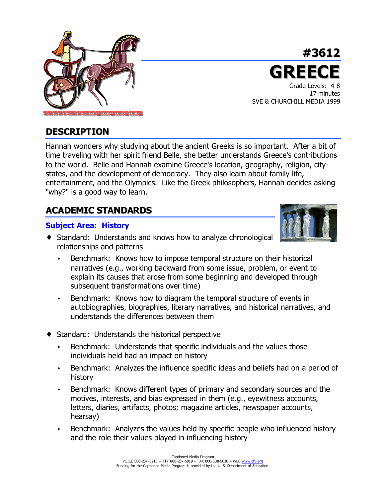

## **#3612 GREEC** Grade Levels: 4-8 17 minutes SVE & CHURCHILL MEDIA 1999

## **DESCRIPTION**

Hannah wonders why studying about the ancient Greeks is so important. After a bit of time traveling with her spirit friend Belle, she better understands Greece's contributions to the world. Belle and Hannah examine Greece's location, geography, religion, citystates, and the development of democracy. They also learn about family life, entertainment, and the Olympics. Like the Greek philosophers, Hannah decides asking "why?" is a good way to learn.

# **ACADEMIC STANDARDS**

## **Subject Area: History**

- 
- ♦ Standard: Understands and knows how to analyze chronological relationships and patterns
	- Benchmark: Knows how to impose temporal structure on their historical narratives (e.g., working backward from some issue, problem, or event to explain its causes that arose from some beginning and developed through subsequent transformations over time)
	- Benchmark: Knows how to diagram the temporal structure of events in autobiographies, biographies, literary narratives, and historical narratives, and understands the differences between them
- ♦ Standard: Understands the historical perspective
	- Benchmark: Understands that specific individuals and the values those individuals held had an impact on history
	- Benchmark: Analyzes the influence specific ideas and beliefs had on a period of history
	- Benchmark: Knows different types of primary and secondary sources and the motives, interests, and bias expressed in them (e.g., eyewitness accounts, letters, diaries, artifacts, photos; magazine articles, newspaper accounts, hearsay)
	- Benchmark: Analyzes the values held by specific people who influenced history and the role their values played in influencing history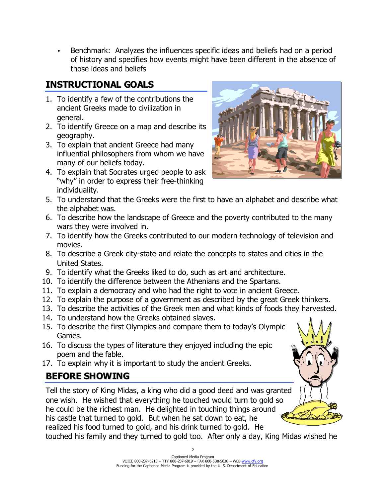• Benchmark: Analyzes the influences specific ideas and beliefs had on a period of history and specifies how events might have been different in the absence of those ideas and beliefs

# **INSTRUCTIONAL GOALS**

- 1. To identify a few of the contributions the ancient Greeks made to civilization in general.
- 2. To identify Greece on a map and describe its geography.
- 3. To explain that ancient Greece had many influential philosophers from whom we have many of our beliefs today.
- 4. To explain that Socrates urged people to ask "why" in order to express their free-thinking individuality.



- 5. To understand that the Greeks were the first to have an alphabet and describe what the alphabet was.
- 6. To describe how the landscape of Greece and the poverty contributed to the many wars they were involved in.
- 7. To identify how the Greeks contributed to our modern technology of television and movies.
- 8. To describe a Greek city-state and relate the concepts to states and cities in the United States.
- 9. To identify what the Greeks liked to do, such as art and architecture.
- 10. To identify the difference between the Athenians and the Spartans.
- 11. To explain a democracy and who had the right to vote in ancient Greece.
- 12. To explain the purpose of a government as described by the great Greek thinkers.
- 13. To describe the activities of the Greek men and what kinds of foods they harvested.
- 14. To understand how the Greeks obtained slaves.
- 15. To describe the first Olympics and compare them to today's Olympic Games.
- 16. To discuss the types of literature they enjoyed including the epic poem and the fable.
- 17. To explain why it is important to study the ancient Greeks.

# **BEFORE SHOWING**

Tell the story of King Midas, a king who did a good deed and was granted one wish. He wished that everything he touched would turn to gold so he could be the richest man. He delighted in touching things around his castle that turned to gold. But when he sat down to eat, he realized his food turned to gold, and his drink turned to gold. He touched his family and they turned to gold too. After only a day, King Midas wished he

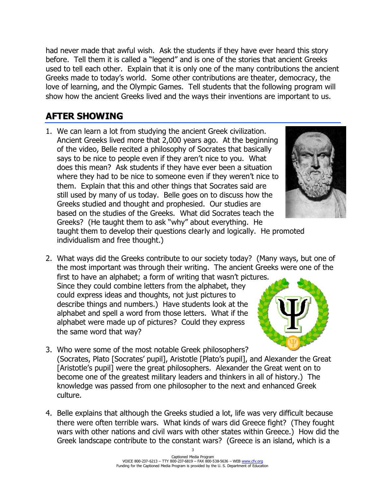had never made that awful wish. Ask the students if they have ever heard this story before. Tell them it is called a "legend" and is one of the stories that ancient Greeks used to tell each other. Explain that it is only one of the many contributions the ancient Greeks made to today's world. Some other contributions are theater, democracy, the love of learning, and the Olympic Games. Tell students that the following program will show how the ancient Greeks lived and the ways their inventions are important to us.

## **AFTER SHOWING**

1. We can learn a lot from studying the ancient Greek civilization. Ancient Greeks lived more that 2,000 years ago. At the beginning of the video, Belle recited a philosophy of Socrates that basically says to be nice to people even if they aren't nice to you. What does this mean? Ask students if they have ever been a situation where they had to be nice to someone even if they weren't nice to them. Explain that this and other things that Socrates said are still used by many of us today. Belle goes on to discuss how the Greeks studied and thought and prophesied. Our studies are based on the studies of the Greeks. What did Socrates teach the Greeks? (He taught them to ask "why" about everything. He



taught them to develop their questions clearly and logically. He promoted individualism and free thought.)

2. What ways did the Greeks contribute to our society today? (Many ways, but one of the most important was through their writing. The ancient Greeks were one of the

first to have an alphabet; a form of writing that wasn't pictures. Since they could combine letters from the alphabet, they could express ideas and thoughts, not just pictures to describe things and numbers.) Have students look at the alphabet and spell a word from those letters. What if the alphabet were made up of pictures? Could they express the same word that way?



- 3. Who were some of the most notable Greek philosophers? (Socrates, Plato [Socrates' pupil], Aristotle [Plato's pupil], and Alexander the Great [Aristotle's pupil] were the great philosophers. Alexander the Great went on to become one of the greatest military leaders and thinkers in all of history.) The knowledge was passed from one philosopher to the next and enhanced Greek culture.
- 4. Belle explains that although the Greeks studied a lot, life was very difficult because there were often terrible wars. What kinds of wars did Greece fight? (They fought wars with other nations and civil wars with other states within Greece.) How did the Greek landscape contribute to the constant wars? (Greece is an island, which is a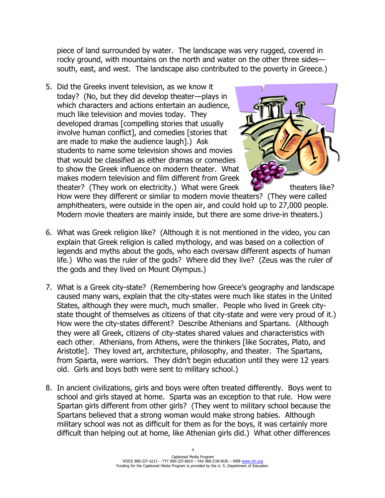piece of land surrounded by water. The landscape was very rugged, covered in rocky ground, with mountains on the north and water on the other three sides south, east, and west. The landscape also contributed to the poverty in Greece.)

5. Did the Greeks invent television, as we know it today? (No, but they did develop theater—plays in which characters and actions entertain an audience, much like television and movies today. They developed dramas [compelling stories that usually involve human conflict], and comedies [stories that are made to make the audience laugh].) Ask students to name some television shows and movies that would be classified as either dramas or comedies to show the Greek influence on modern theater. What makes modern television and film different from Greek theater? (They work on electricity.) What were Greek  $\mathcal{L}$  theaters like?



How were they different or similar to modern movie theaters? (They were called amphitheaters, were outside in the open air, and could hold up to 27,000 people. Modern movie theaters are mainly inside, but there are some drive-in theaters.)

- 6. What was Greek religion like? (Although it is not mentioned in the video, you can explain that Greek religion is called mythology, and was based on a collection of legends and myths about the gods, who each oversaw different aspects of human life.) Who was the ruler of the gods? Where did they live? (Zeus was the ruler of the gods and they lived on Mount Olympus.)
- 7. What is a Greek city-state? (Remembering how Greece's geography and landscape caused many wars, explain that the city-states were much like states in the United States, although they were much, much smaller. People who lived in Greek citystate thought of themselves as citizens of that city-state and were very proud of it.) How were the city-states different? Describe Athenians and Spartans. (Although they were all Greek, citizens of city-states shared values and characteristics with each other. Athenians, from Athens, were the thinkers [like Socrates, Plato, and Aristotle]. They loved art, architecture, philosophy, and theater. The Spartans, from Sparta, were warriors. They didn't begin education until they were 12 years old. Girls and boys both were sent to military school.)
- 8. In ancient civilizations, girls and boys were often treated differently. Boys went to school and girls stayed at home. Sparta was an exception to that rule. How were Spartan girls different from other girls? (They went to military school because the Spartans believed that a strong woman would make strong babies. Although military school was not as difficult for them as for the boys, it was certainly more difficult than helping out at home, like Athenian girls did.) What other differences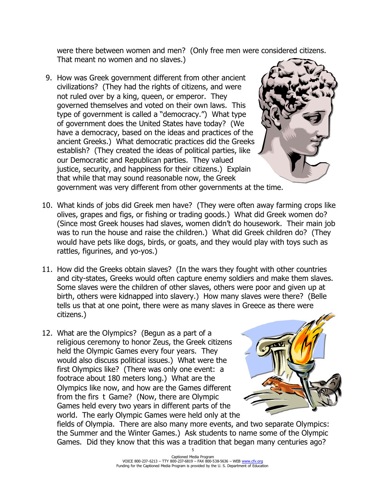were there between women and men? (Only free men were considered citizens. That meant no women and no slaves.)

9. How was Greek government different from other ancient civilizations? (They had the rights of citizens, and were not ruled over by a king, queen, or emperor. They governed themselves and voted on their own laws. This type of government is called a "democracy.") What type of government does the United States have today? (We have a democracy, based on the ideas and practices of the ancient Greeks.) What democratic practices did the Greeks establish? (They created the ideas of political parties, like our Democratic and Republican parties. They valued justice, security, and happiness for their citizens.) Explain that while that may sound reasonable now, the Greek government was very different from other governments at the time.



- 10. What kinds of jobs did Greek men have? (They were often away farming crops like olives, grapes and figs, or fishing or trading goods.) What did Greek women do? (Since most Greek houses had slaves, women didn't do housework. Their main job was to run the house and raise the children.) What did Greek children do? (They would have pets like dogs, birds, or goats, and they would play with toys such as rattles, figurines, and yo-yos.)
- 11. How did the Greeks obtain slaves? (In the wars they fought with other countries and city-states, Greeks would often capture enemy soldiers and make them slaves. Some slaves were the children of other slaves, others were poor and given up at birth, others were kidnapped into slavery.) How many slaves were there? (Belle tells us that at one point, there were as many slaves in Greece as there were citizens.)
- 12. What are the Olympics? (Begun as a part of a religious ceremony to honor Zeus, the Greek citizens held the Olympic Games every four years. They would also discuss political issues.) What were the first Olympics like? (There was only one event: a footrace about 180 meters long.) What are the Olympics like now, and how are the Games different from the first Game? (Now, there are Olympic Games held every two years in different parts of the world. The early Olympic Games were held only at the



fields of Olympia. There are also many more events, and two separate Olympics: the Summer and the Winter Games.) Ask students to name some of the Olympic Games. Did they know that this was a tradition that began many centuries ago?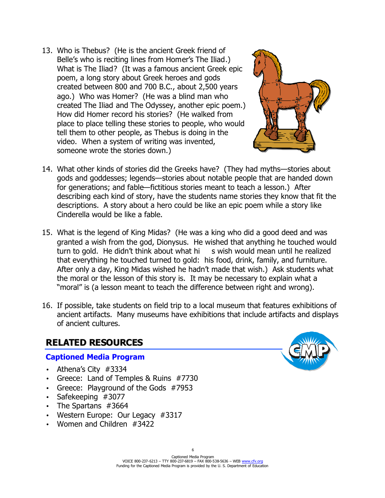13. Who is Thebus? (He is the ancient Greek friend of Belle's who is reciting lines from Homer's The Iliad.) What is The Iliad? (It was a famous ancient Greek epic poem, a long story about Greek heroes and gods created between 800 and 700 B.C., about 2,500 years ago.) Who was Homer? (He was a blind man who created The Iliad and The Odyssey, another epic poem.) How did Homer record his stories? (He walked from place to place telling these stories to people, who would tell them to other people, as Thebus is doing in the video. When a system of writing was invented, someone wrote the stories down.)



- 14. What other kinds of stories did the Greeks have? (They had myths—stories about gods and goddesses; legends—stories about notable people that are handed down for generations; and fable—fictitious stories meant to teach a lesson.) After describing each kind of story, have the students name stories they know that fit the descriptions. A story about a hero could be like an epic poem while a story like Cinderella would be like a fable.
- 15. What is the legend of King Midas? (He was a king who did a good deed and was granted a wish from the god, Dionysus. He wished that anything he touched would turn to gold. He didn't think about what hi s wish would mean until he realized that everything he touched turned to gold: his food, drink, family, and furniture. After only a day, King Midas wished he hadn't made that wish.) Ask students what the moral or the lesson of this story is. It may be necessary to explain what a "moral" is (a lesson meant to teach the difference between right and wrong).
- 16. If possible, take students on field trip to a local museum that features exhibitions of ancient artifacts. Many museums have exhibitions that include artifacts and displays of ancient cultures.

## **RELATED RESOURCES**

## **Captioned Media Program**

- Athena's City #3334
- Greece: Land of Temples & Ruins #7730
- Greece: Playground of the Gods #7953
- Safekeeping #3077
- The Spartans #3664
- Western Europe: Our Legacy #3317
- Women and Children #3422